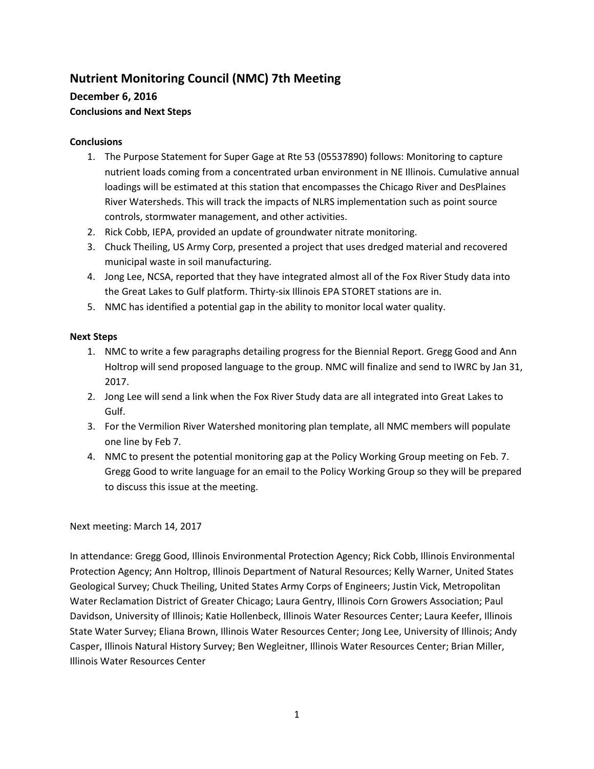# **Nutrient Monitoring Council (NMC) 7th Meeting**

# **December 6, 2016**

# **Conclusions and Next Steps**

## **Conclusions**

- 1. The Purpose Statement for Super Gage at Rte 53 (05537890) follows: Monitoring to capture nutrient loads coming from a concentrated urban environment in NE Illinois. Cumulative annual loadings will be estimated at this station that encompasses the Chicago River and DesPlaines River Watersheds. This will track the impacts of NLRS implementation such as point source controls, stormwater management, and other activities.
- 2. Rick Cobb, IEPA, provided an update of groundwater nitrate monitoring.
- 3. Chuck Theiling, US Army Corp, presented a project that uses dredged material and recovered municipal waste in soil manufacturing.
- 4. Jong Lee, NCSA, reported that they have integrated almost all of the Fox River Study data into the Great Lakes to Gulf platform. Thirty-six Illinois EPA STORET stations are in.
- 5. NMC has identified a potential gap in the ability to monitor local water quality.

# **Next Steps**

- 1. NMC to write a few paragraphs detailing progress for the Biennial Report. Gregg Good and Ann Holtrop will send proposed language to the group. NMC will finalize and send to IWRC by Jan 31, 2017.
- 2. Jong Lee will send a link when the Fox River Study data are all integrated into Great Lakes to Gulf.
- 3. For the Vermilion River Watershed monitoring plan template, all NMC members will populate one line by Feb 7.
- 4. NMC to present the potential monitoring gap at the Policy Working Group meeting on Feb. 7. Gregg Good to write language for an email to the Policy Working Group so they will be prepared to discuss this issue at the meeting.

# Next meeting: March 14, 2017

In attendance: Gregg Good, Illinois Environmental Protection Agency; Rick Cobb, Illinois Environmental Protection Agency; Ann Holtrop, Illinois Department of Natural Resources; Kelly Warner, United States Geological Survey; Chuck Theiling, United States Army Corps of Engineers; Justin Vick, Metropolitan Water Reclamation District of Greater Chicago; Laura Gentry, Illinois Corn Growers Association; Paul Davidson, University of Illinois; Katie Hollenbeck, Illinois Water Resources Center; Laura Keefer, Illinois State Water Survey; Eliana Brown, Illinois Water Resources Center; Jong Lee, University of Illinois; Andy Casper, Illinois Natural History Survey; Ben Wegleitner, Illinois Water Resources Center; Brian Miller, Illinois Water Resources Center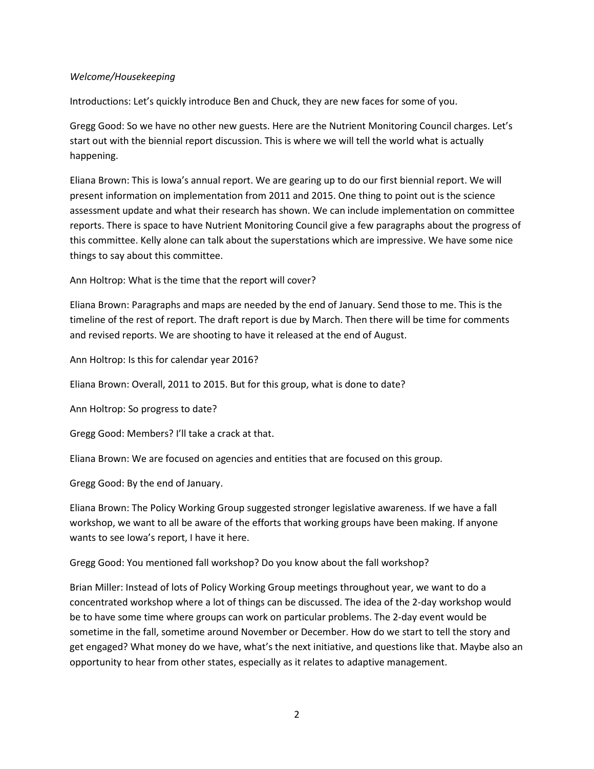#### *Welcome/Housekeeping*

Introductions: Let's quickly introduce Ben and Chuck, they are new faces for some of you.

Gregg Good: So we have no other new guests. Here are the Nutrient Monitoring Council charges. Let's start out with the biennial report discussion. This is where we will tell the world what is actually happening.

Eliana Brown: This is Iowa's annual report. We are gearing up to do our first biennial report. We will present information on implementation from 2011 and 2015. One thing to point out is the science assessment update and what their research has shown. We can include implementation on committee reports. There is space to have Nutrient Monitoring Council give a few paragraphs about the progress of this committee. Kelly alone can talk about the superstations which are impressive. We have some nice things to say about this committee.

Ann Holtrop: What is the time that the report will cover?

Eliana Brown: Paragraphs and maps are needed by the end of January. Send those to me. This is the timeline of the rest of report. The draft report is due by March. Then there will be time for comments and revised reports. We are shooting to have it released at the end of August.

Ann Holtrop: Is this for calendar year 2016?

Eliana Brown: Overall, 2011 to 2015. But for this group, what is done to date?

Ann Holtrop: So progress to date?

Gregg Good: Members? I'll take a crack at that.

Eliana Brown: We are focused on agencies and entities that are focused on this group.

Gregg Good: By the end of January.

Eliana Brown: The Policy Working Group suggested stronger legislative awareness. If we have a fall workshop, we want to all be aware of the efforts that working groups have been making. If anyone wants to see Iowa's report, I have it here.

Gregg Good: You mentioned fall workshop? Do you know about the fall workshop?

Brian Miller: Instead of lots of Policy Working Group meetings throughout year, we want to do a concentrated workshop where a lot of things can be discussed. The idea of the 2-day workshop would be to have some time where groups can work on particular problems. The 2-day event would be sometime in the fall, sometime around November or December. How do we start to tell the story and get engaged? What money do we have, what's the next initiative, and questions like that. Maybe also an opportunity to hear from other states, especially as it relates to adaptive management.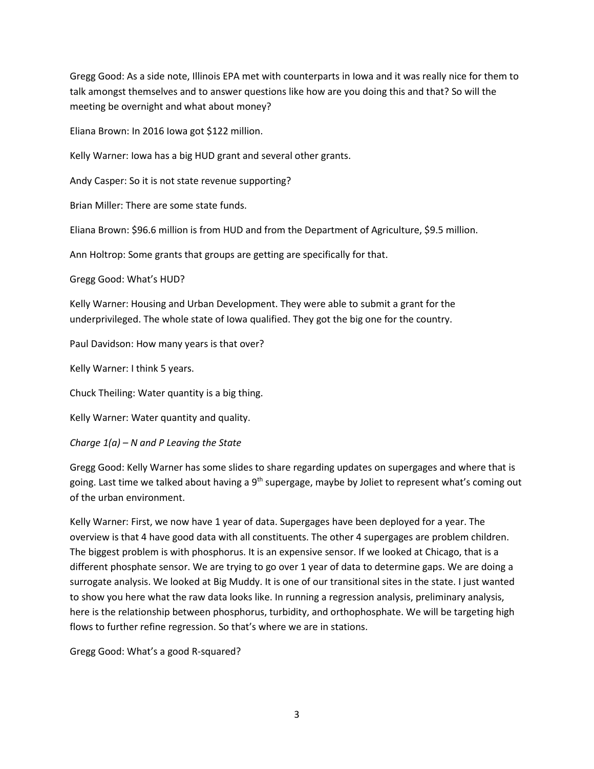Gregg Good: As a side note, Illinois EPA met with counterparts in Iowa and it was really nice for them to talk amongst themselves and to answer questions like how are you doing this and that? So will the meeting be overnight and what about money?

Eliana Brown: In 2016 Iowa got \$122 million.

Kelly Warner: Iowa has a big HUD grant and several other grants.

Andy Casper: So it is not state revenue supporting?

Brian Miller: There are some state funds.

Eliana Brown: \$96.6 million is from HUD and from the Department of Agriculture, \$9.5 million.

Ann Holtrop: Some grants that groups are getting are specifically for that.

Gregg Good: What's HUD?

Kelly Warner: Housing and Urban Development. They were able to submit a grant for the underprivileged. The whole state of Iowa qualified. They got the big one for the country.

Paul Davidson: How many years is that over?

Kelly Warner: I think 5 years.

Chuck Theiling: Water quantity is a big thing.

Kelly Warner: Water quantity and quality.

*Charge 1(a) – N and P Leaving the State*

Gregg Good: Kelly Warner has some slides to share regarding updates on supergages and where that is going. Last time we talked about having a 9<sup>th</sup> supergage, maybe by Joliet to represent what's coming out of the urban environment.

Kelly Warner: First, we now have 1 year of data. Supergages have been deployed for a year. The overview is that 4 have good data with all constituents. The other 4 supergages are problem children. The biggest problem is with phosphorus. It is an expensive sensor. If we looked at Chicago, that is a different phosphate sensor. We are trying to go over 1 year of data to determine gaps. We are doing a surrogate analysis. We looked at Big Muddy. It is one of our transitional sites in the state. I just wanted to show you here what the raw data looks like. In running a regression analysis, preliminary analysis, here is the relationship between phosphorus, turbidity, and orthophosphate. We will be targeting high flows to further refine regression. So that's where we are in stations.

Gregg Good: What's a good R-squared?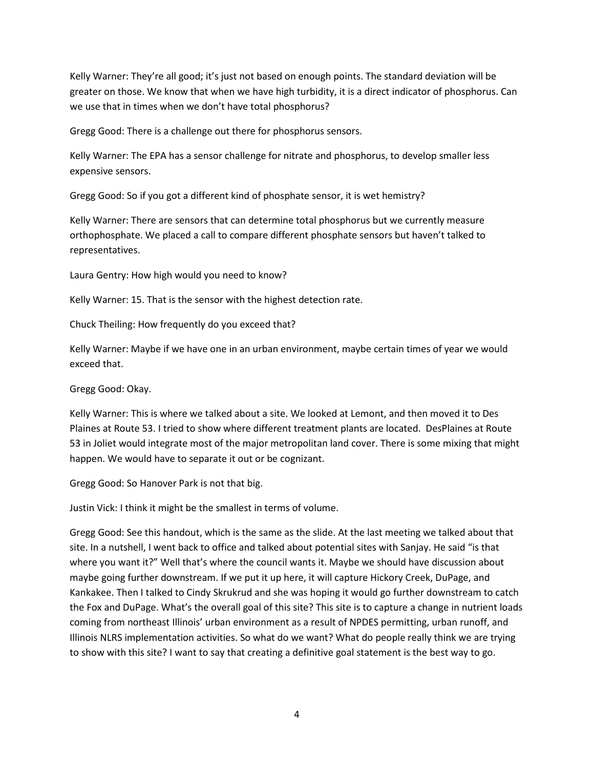Kelly Warner: They're all good; it's just not based on enough points. The standard deviation will be greater on those. We know that when we have high turbidity, it is a direct indicator of phosphorus. Can we use that in times when we don't have total phosphorus?

Gregg Good: There is a challenge out there for phosphorus sensors.

Kelly Warner: The EPA has a sensor challenge for nitrate and phosphorus, to develop smaller less expensive sensors.

Gregg Good: So if you got a different kind of phosphate sensor, it is wet hemistry?

Kelly Warner: There are sensors that can determine total phosphorus but we currently measure orthophosphate. We placed a call to compare different phosphate sensors but haven't talked to representatives.

Laura Gentry: How high would you need to know?

Kelly Warner: 15. That is the sensor with the highest detection rate.

Chuck Theiling: How frequently do you exceed that?

Kelly Warner: Maybe if we have one in an urban environment, maybe certain times of year we would exceed that.

Gregg Good: Okay.

Kelly Warner: This is where we talked about a site. We looked at Lemont, and then moved it to Des Plaines at Route 53. I tried to show where different treatment plants are located. DesPlaines at Route 53 in Joliet would integrate most of the major metropolitan land cover. There is some mixing that might happen. We would have to separate it out or be cognizant.

Gregg Good: So Hanover Park is not that big.

Justin Vick: I think it might be the smallest in terms of volume.

Gregg Good: See this handout, which is the same as the slide. At the last meeting we talked about that site. In a nutshell, I went back to office and talked about potential sites with Sanjay. He said "is that where you want it?" Well that's where the council wants it. Maybe we should have discussion about maybe going further downstream. If we put it up here, it will capture Hickory Creek, DuPage, and Kankakee. Then I talked to Cindy Skrukrud and she was hoping it would go further downstream to catch the Fox and DuPage. What's the overall goal of this site? This site is to capture a change in nutrient loads coming from northeast Illinois' urban environment as a result of NPDES permitting, urban runoff, and Illinois NLRS implementation activities. So what do we want? What do people really think we are trying to show with this site? I want to say that creating a definitive goal statement is the best way to go.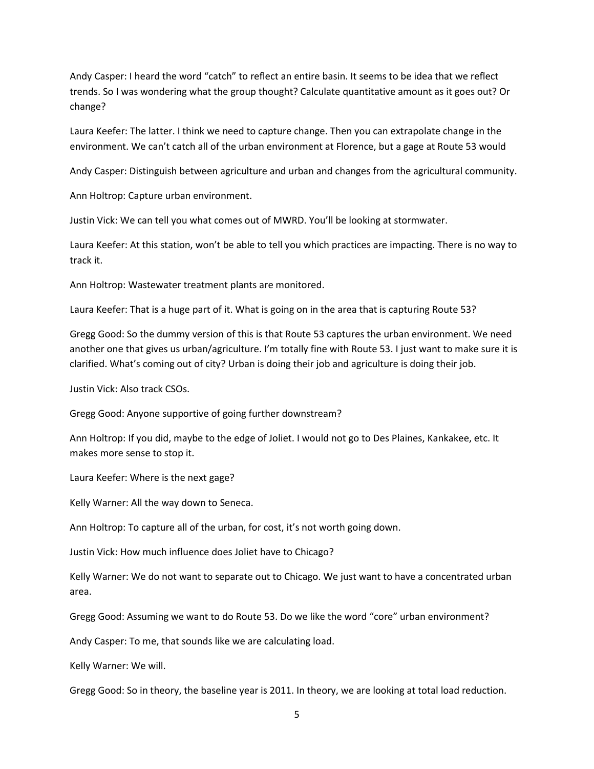Andy Casper: I heard the word "catch" to reflect an entire basin. It seems to be idea that we reflect trends. So I was wondering what the group thought? Calculate quantitative amount as it goes out? Or change?

Laura Keefer: The latter. I think we need to capture change. Then you can extrapolate change in the environment. We can't catch all of the urban environment at Florence, but a gage at Route 53 would

Andy Casper: Distinguish between agriculture and urban and changes from the agricultural community.

Ann Holtrop: Capture urban environment.

Justin Vick: We can tell you what comes out of MWRD. You'll be looking at stormwater.

Laura Keefer: At this station, won't be able to tell you which practices are impacting. There is no way to track it.

Ann Holtrop: Wastewater treatment plants are monitored.

Laura Keefer: That is a huge part of it. What is going on in the area that is capturing Route 53?

Gregg Good: So the dummy version of this is that Route 53 captures the urban environment. We need another one that gives us urban/agriculture. I'm totally fine with Route 53. I just want to make sure it is clarified. What's coming out of city? Urban is doing their job and agriculture is doing their job.

Justin Vick: Also track CSOs.

Gregg Good: Anyone supportive of going further downstream?

Ann Holtrop: If you did, maybe to the edge of Joliet. I would not go to Des Plaines, Kankakee, etc. It makes more sense to stop it.

Laura Keefer: Where is the next gage?

Kelly Warner: All the way down to Seneca.

Ann Holtrop: To capture all of the urban, for cost, it's not worth going down.

Justin Vick: How much influence does Joliet have to Chicago?

Kelly Warner: We do not want to separate out to Chicago. We just want to have a concentrated urban area.

Gregg Good: Assuming we want to do Route 53. Do we like the word "core" urban environment?

Andy Casper: To me, that sounds like we are calculating load.

Kelly Warner: We will.

Gregg Good: So in theory, the baseline year is 2011. In theory, we are looking at total load reduction.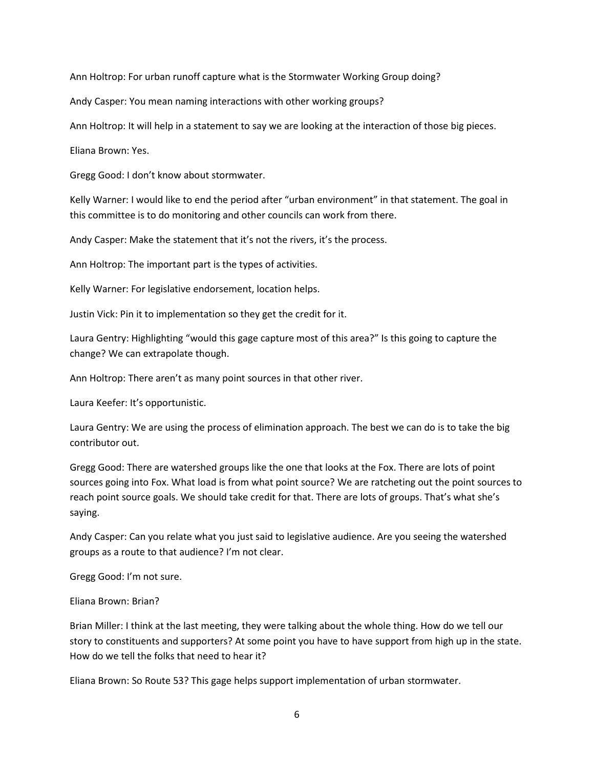Ann Holtrop: For urban runoff capture what is the Stormwater Working Group doing?

Andy Casper: You mean naming interactions with other working groups?

Ann Holtrop: It will help in a statement to say we are looking at the interaction of those big pieces.

Eliana Brown: Yes.

Gregg Good: I don't know about stormwater.

Kelly Warner: I would like to end the period after "urban environment" in that statement. The goal in this committee is to do monitoring and other councils can work from there.

Andy Casper: Make the statement that it's not the rivers, it's the process.

Ann Holtrop: The important part is the types of activities.

Kelly Warner: For legislative endorsement, location helps.

Justin Vick: Pin it to implementation so they get the credit for it.

Laura Gentry: Highlighting "would this gage capture most of this area?" Is this going to capture the change? We can extrapolate though.

Ann Holtrop: There aren't as many point sources in that other river.

Laura Keefer: It's opportunistic.

Laura Gentry: We are using the process of elimination approach. The best we can do is to take the big contributor out.

Gregg Good: There are watershed groups like the one that looks at the Fox. There are lots of point sources going into Fox. What load is from what point source? We are ratcheting out the point sources to reach point source goals. We should take credit for that. There are lots of groups. That's what she's saying.

Andy Casper: Can you relate what you just said to legislative audience. Are you seeing the watershed groups as a route to that audience? I'm not clear.

Gregg Good: I'm not sure.

Eliana Brown: Brian?

Brian Miller: I think at the last meeting, they were talking about the whole thing. How do we tell our story to constituents and supporters? At some point you have to have support from high up in the state. How do we tell the folks that need to hear it?

Eliana Brown: So Route 53? This gage helps support implementation of urban stormwater.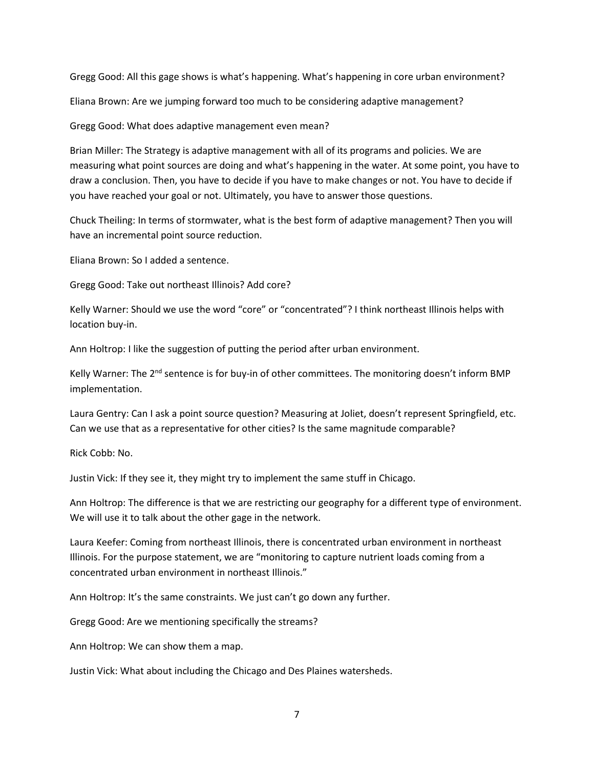Gregg Good: All this gage shows is what's happening. What's happening in core urban environment?

Eliana Brown: Are we jumping forward too much to be considering adaptive management?

Gregg Good: What does adaptive management even mean?

Brian Miller: The Strategy is adaptive management with all of its programs and policies. We are measuring what point sources are doing and what's happening in the water. At some point, you have to draw a conclusion. Then, you have to decide if you have to make changes or not. You have to decide if you have reached your goal or not. Ultimately, you have to answer those questions.

Chuck Theiling: In terms of stormwater, what is the best form of adaptive management? Then you will have an incremental point source reduction.

Eliana Brown: So I added a sentence.

Gregg Good: Take out northeast Illinois? Add core?

Kelly Warner: Should we use the word "core" or "concentrated"? I think northeast Illinois helps with location buy-in.

Ann Holtrop: I like the suggestion of putting the period after urban environment.

Kelly Warner: The 2<sup>nd</sup> sentence is for buy-in of other committees. The monitoring doesn't inform BMP implementation.

Laura Gentry: Can I ask a point source question? Measuring at Joliet, doesn't represent Springfield, etc. Can we use that as a representative for other cities? Is the same magnitude comparable?

Rick Cobb: No.

Justin Vick: If they see it, they might try to implement the same stuff in Chicago.

Ann Holtrop: The difference is that we are restricting our geography for a different type of environment. We will use it to talk about the other gage in the network.

Laura Keefer: Coming from northeast Illinois, there is concentrated urban environment in northeast Illinois. For the purpose statement, we are "monitoring to capture nutrient loads coming from a concentrated urban environment in northeast Illinois."

Ann Holtrop: It's the same constraints. We just can't go down any further.

Gregg Good: Are we mentioning specifically the streams?

Ann Holtrop: We can show them a map.

Justin Vick: What about including the Chicago and Des Plaines watersheds.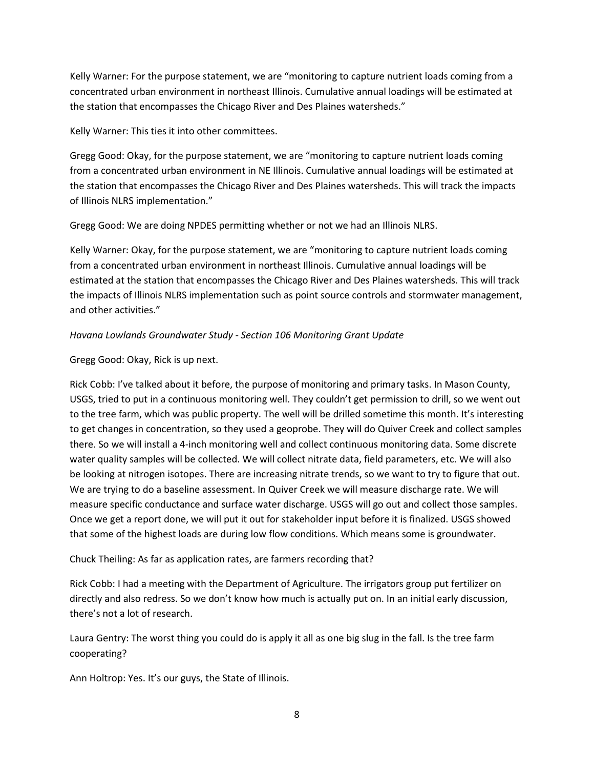Kelly Warner: For the purpose statement, we are "monitoring to capture nutrient loads coming from a concentrated urban environment in northeast Illinois. Cumulative annual loadings will be estimated at the station that encompasses the Chicago River and Des Plaines watersheds."

Kelly Warner: This ties it into other committees.

Gregg Good: Okay, for the purpose statement, we are "monitoring to capture nutrient loads coming from a concentrated urban environment in NE Illinois. Cumulative annual loadings will be estimated at the station that encompasses the Chicago River and Des Plaines watersheds. This will track the impacts of Illinois NLRS implementation."

Gregg Good: We are doing NPDES permitting whether or not we had an Illinois NLRS.

Kelly Warner: Okay, for the purpose statement, we are "monitoring to capture nutrient loads coming from a concentrated urban environment in northeast Illinois. Cumulative annual loadings will be estimated at the station that encompasses the Chicago River and Des Plaines watersheds. This will track the impacts of Illinois NLRS implementation such as point source controls and stormwater management, and other activities."

### *Havana Lowlands Groundwater Study - Section 106 Monitoring Grant Update*

#### Gregg Good: Okay, Rick is up next.

Rick Cobb: I've talked about it before, the purpose of monitoring and primary tasks. In Mason County, USGS, tried to put in a continuous monitoring well. They couldn't get permission to drill, so we went out to the tree farm, which was public property. The well will be drilled sometime this month. It's interesting to get changes in concentration, so they used a geoprobe. They will do Quiver Creek and collect samples there. So we will install a 4-inch monitoring well and collect continuous monitoring data. Some discrete water quality samples will be collected. We will collect nitrate data, field parameters, etc. We will also be looking at nitrogen isotopes. There are increasing nitrate trends, so we want to try to figure that out. We are trying to do a baseline assessment. In Quiver Creek we will measure discharge rate. We will measure specific conductance and surface water discharge. USGS will go out and collect those samples. Once we get a report done, we will put it out for stakeholder input before it is finalized. USGS showed that some of the highest loads are during low flow conditions. Which means some is groundwater.

### Chuck Theiling: As far as application rates, are farmers recording that?

Rick Cobb: I had a meeting with the Department of Agriculture. The irrigators group put fertilizer on directly and also redress. So we don't know how much is actually put on. In an initial early discussion, there's not a lot of research.

Laura Gentry: The worst thing you could do is apply it all as one big slug in the fall. Is the tree farm cooperating?

Ann Holtrop: Yes. It's our guys, the State of Illinois.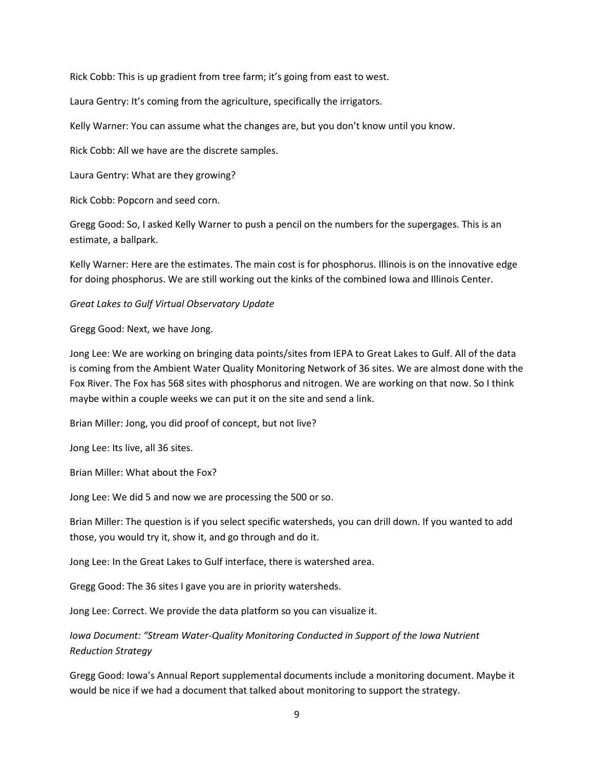Rick Cobb: This is up gradient from tree farm; it's going from east to west.

Laura Gentry: It's coming from the agriculture, specifically the irrigators.

Kelly Warner: You can assume what the changes are, but you don't know until you know.

Rick Cobb: All we have are the discrete samples.

Laura Gentry: What are they growing?

Rick Cobb: Popcorn and seed corn.

Gregg Good: So, I asked Kelly Warner to push a pencil on the numbers for the supergages. This is an estimate, a ballpark.

Kelly Warner: Here are the estimates. The main cost is for phosphorus. Illinois is on the innovative edge for doing phosphorus. We are still working out the kinks of the combined Iowa and Illinois Center.

*Great Lakes to Gulf Virtual Observatory Update*

Gregg Good: Next, we have Jong.

Jong Lee: We are working on bringing data points/sites from IEPA to Great Lakes to Gulf. All of the data is coming from the Ambient Water Quality Monitoring Network of 36 sites. We are almost done with the Fox River. The Fox has 568 sites with phosphorus and nitrogen. We are working on that now. So I think maybe within a couple weeks we can put it on the site and send a link.

Brian Miller: Jong, you did proof of concept, but not live?

Jong Lee: Its live, all 36 sites.

Brian Miller: What about the Fox?

Jong Lee: We did 5 and now we are processing the 500 or so.

Brian Miller: The question is if you select specific watersheds, you can drill down. If you wanted to add those, you would try it, show it, and go through and do it.

Jong Lee: In the Great Lakes to Gulf interface, there is watershed area.

Gregg Good: The 36 sites I gave you are in priority watersheds.

Jong Lee: Correct. We provide the data platform so you can visualize it.

*Iowa Document: "Stream Water-Quality Monitoring Conducted in Support of the Iowa Nutrient Reduction Strategy*

Gregg Good: Iowa's Annual Report supplemental documents include a monitoring document. Maybe it would be nice if we had a document that talked about monitoring to support the strategy.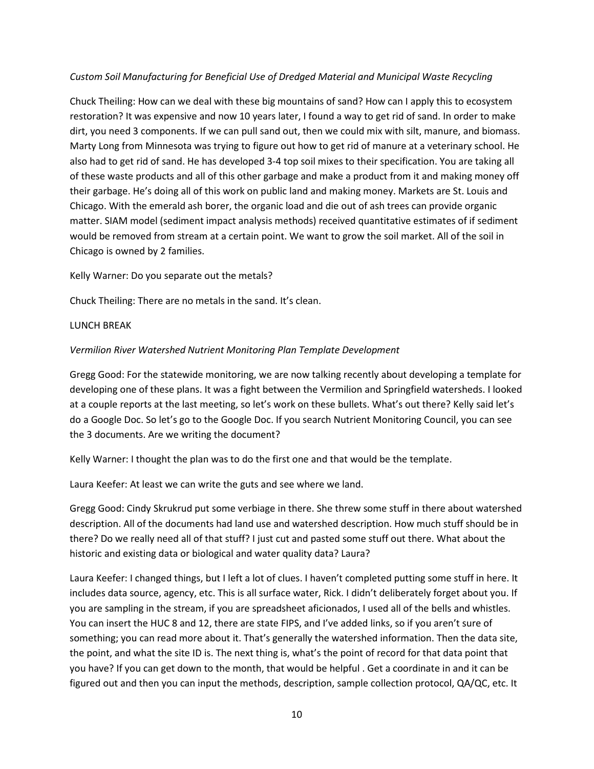#### *Custom Soil Manufacturing for Beneficial Use of Dredged Material and Municipal Waste Recycling*

Chuck Theiling: How can we deal with these big mountains of sand? How can I apply this to ecosystem restoration? It was expensive and now 10 years later, I found a way to get rid of sand. In order to make dirt, you need 3 components. If we can pull sand out, then we could mix with silt, manure, and biomass. Marty Long from Minnesota was trying to figure out how to get rid of manure at a veterinary school. He also had to get rid of sand. He has developed 3-4 top soil mixes to their specification. You are taking all of these waste products and all of this other garbage and make a product from it and making money off their garbage. He's doing all of this work on public land and making money. Markets are St. Louis and Chicago. With the emerald ash borer, the organic load and die out of ash trees can provide organic matter. SIAM model (sediment impact analysis methods) received quantitative estimates of if sediment would be removed from stream at a certain point. We want to grow the soil market. All of the soil in Chicago is owned by 2 families.

Kelly Warner: Do you separate out the metals?

Chuck Theiling: There are no metals in the sand. It's clean.

#### LUNCH BREAK

#### *Vermilion River Watershed Nutrient Monitoring Plan Template Development*

Gregg Good: For the statewide monitoring, we are now talking recently about developing a template for developing one of these plans. It was a fight between the Vermilion and Springfield watersheds. I looked at a couple reports at the last meeting, so let's work on these bullets. What's out there? Kelly said let's do a Google Doc. So let's go to the Google Doc. If you search Nutrient Monitoring Council, you can see the 3 documents. Are we writing the document?

Kelly Warner: I thought the plan was to do the first one and that would be the template.

Laura Keefer: At least we can write the guts and see where we land.

Gregg Good: Cindy Skrukrud put some verbiage in there. She threw some stuff in there about watershed description. All of the documents had land use and watershed description. How much stuff should be in there? Do we really need all of that stuff? I just cut and pasted some stuff out there. What about the historic and existing data or biological and water quality data? Laura?

Laura Keefer: I changed things, but I left a lot of clues. I haven't completed putting some stuff in here. It includes data source, agency, etc. This is all surface water, Rick. I didn't deliberately forget about you. If you are sampling in the stream, if you are spreadsheet aficionados, I used all of the bells and whistles. You can insert the HUC 8 and 12, there are state FIPS, and I've added links, so if you aren't sure of something; you can read more about it. That's generally the watershed information. Then the data site, the point, and what the site ID is. The next thing is, what's the point of record for that data point that you have? If you can get down to the month, that would be helpful . Get a coordinate in and it can be figured out and then you can input the methods, description, sample collection protocol, QA/QC, etc. It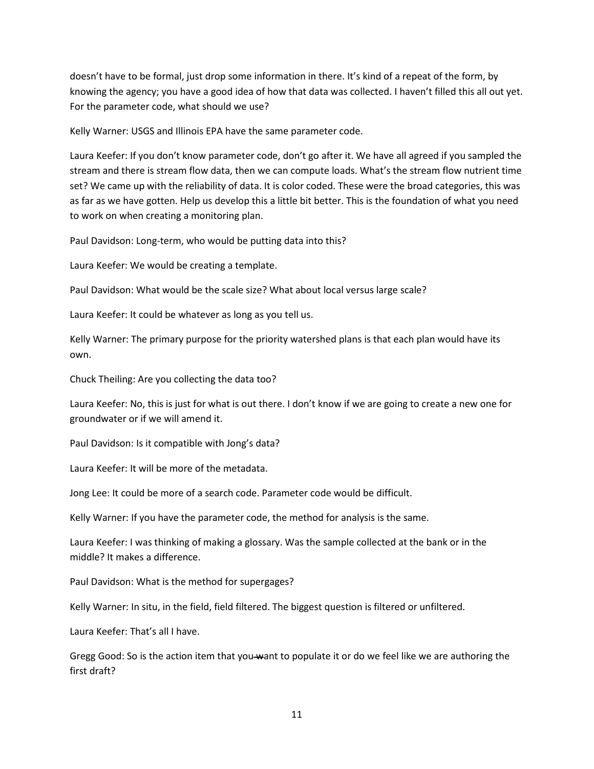doesn't have to be formal, just drop some information in there. It's kind of a repeat of the form, by knowing the agency; you have a good idea of how that data was collected. I haven't filled this all out yet. For the parameter code, what should we use?

Kelly Warner: USGS and Illinois EPA have the same parameter code.

Laura Keefer: If you don't know parameter code, don't go after it. We have all agreed if you sampled the stream and there is stream flow data, then we can compute loads. What's the stream flow nutrient time set? We came up with the reliability of data. It is color coded. These were the broad categories, this was as far as we have gotten. Help us develop this a little bit better. This is the foundation of what you need to work on when creating a monitoring plan.

Paul Davidson: Long-term, who would be putting data into this?

Laura Keefer: We would be creating a template.

Paul Davidson: What would be the scale size? What about local versus large scale?

Laura Keefer: It could be whatever as long as you tell us.

Kelly Warner: The primary purpose for the priority watershed plans is that each plan would have its own.

Chuck Theiling: Are you collecting the data too?

Laura Keefer: No, this is just for what is out there. I don't know if we are going to create a new one for groundwater or if we will amend it.

Paul Davidson: Is it compatible with Jong's data?

Laura Keefer: It will be more of the metadata.

Jong Lee: It could be more of a search code. Parameter code would be difficult.

Kelly Warner: If you have the parameter code, the method for analysis is the same.

Laura Keefer: I was thinking of making a glossary. Was the sample collected at the bank or in the middle? It makes a difference.

Paul Davidson: What is the method for supergages?

Kelly Warner: In situ, in the field, field filtered. The biggest question is filtered or unfiltered.

Laura Keefer: That's all I have.

Gregg Good: So is the action item that you want to populate it or do we feel like we are authoring the first draft?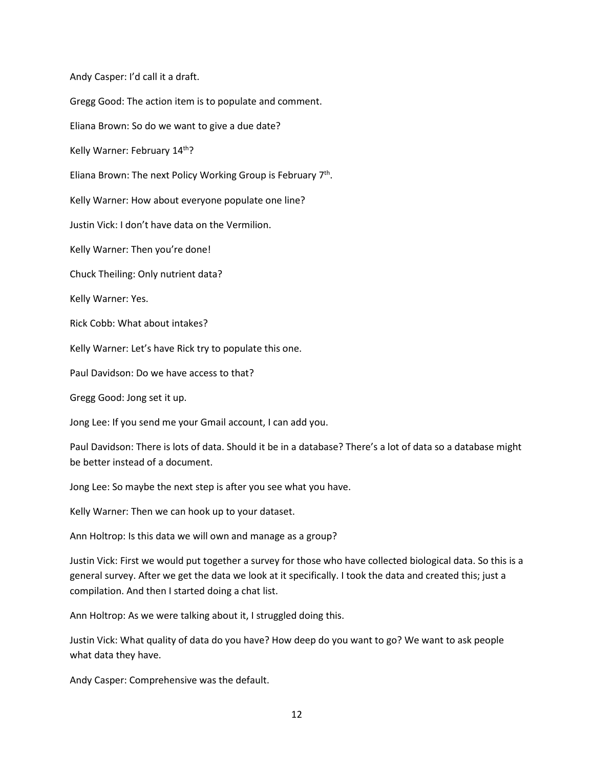Andy Casper: I'd call it a draft.

Gregg Good: The action item is to populate and comment.

Eliana Brown: So do we want to give a due date?

Kelly Warner: February 14<sup>th</sup>?

Eliana Brown: The next Policy Working Group is February 7th.

Kelly Warner: How about everyone populate one line?

Justin Vick: I don't have data on the Vermilion.

Kelly Warner: Then you're done!

Chuck Theiling: Only nutrient data?

Kelly Warner: Yes.

Rick Cobb: What about intakes?

Kelly Warner: Let's have Rick try to populate this one.

Paul Davidson: Do we have access to that?

Gregg Good: Jong set it up.

Jong Lee: If you send me your Gmail account, I can add you.

Paul Davidson: There is lots of data. Should it be in a database? There's a lot of data so a database might be better instead of a document.

Jong Lee: So maybe the next step is after you see what you have.

Kelly Warner: Then we can hook up to your dataset.

Ann Holtrop: Is this data we will own and manage as a group?

Justin Vick: First we would put together a survey for those who have collected biological data. So this is a general survey. After we get the data we look at it specifically. I took the data and created this; just a compilation. And then I started doing a chat list.

Ann Holtrop: As we were talking about it, I struggled doing this.

Justin Vick: What quality of data do you have? How deep do you want to go? We want to ask people what data they have.

Andy Casper: Comprehensive was the default.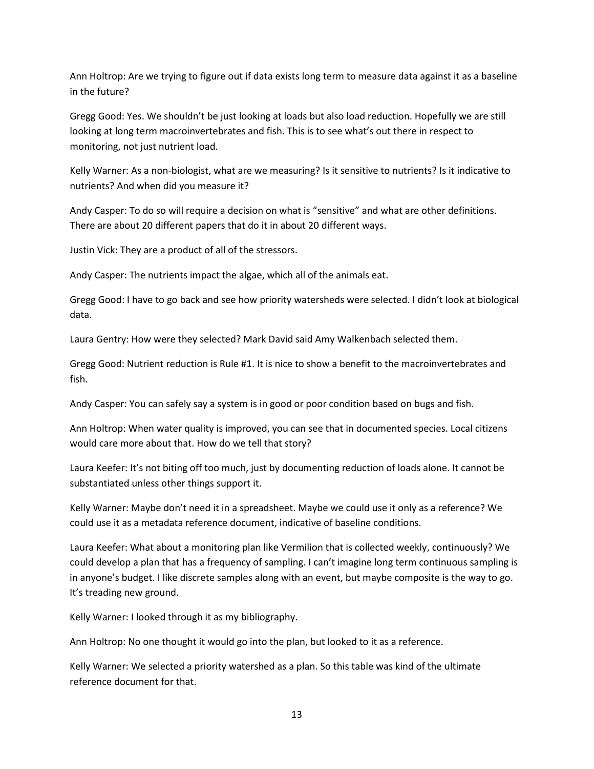Ann Holtrop: Are we trying to figure out if data exists long term to measure data against it as a baseline in the future?

Gregg Good: Yes. We shouldn't be just looking at loads but also load reduction. Hopefully we are still looking at long term macroinvertebrates and fish. This is to see what's out there in respect to monitoring, not just nutrient load.

Kelly Warner: As a non-biologist, what are we measuring? Is it sensitive to nutrients? Is it indicative to nutrients? And when did you measure it?

Andy Casper: To do so will require a decision on what is "sensitive" and what are other definitions. There are about 20 different papers that do it in about 20 different ways.

Justin Vick: They are a product of all of the stressors.

Andy Casper: The nutrients impact the algae, which all of the animals eat.

Gregg Good: I have to go back and see how priority watersheds were selected. I didn't look at biological data.

Laura Gentry: How were they selected? Mark David said Amy Walkenbach selected them.

Gregg Good: Nutrient reduction is Rule #1. It is nice to show a benefit to the macroinvertebrates and fish.

Andy Casper: You can safely say a system is in good or poor condition based on bugs and fish.

Ann Holtrop: When water quality is improved, you can see that in documented species. Local citizens would care more about that. How do we tell that story?

Laura Keefer: It's not biting off too much, just by documenting reduction of loads alone. It cannot be substantiated unless other things support it.

Kelly Warner: Maybe don't need it in a spreadsheet. Maybe we could use it only as a reference? We could use it as a metadata reference document, indicative of baseline conditions.

Laura Keefer: What about a monitoring plan like Vermilion that is collected weekly, continuously? We could develop a plan that has a frequency of sampling. I can't imagine long term continuous sampling is in anyone's budget. I like discrete samples along with an event, but maybe composite is the way to go. It's treading new ground.

Kelly Warner: I looked through it as my bibliography.

Ann Holtrop: No one thought it would go into the plan, but looked to it as a reference.

Kelly Warner: We selected a priority watershed as a plan. So this table was kind of the ultimate reference document for that.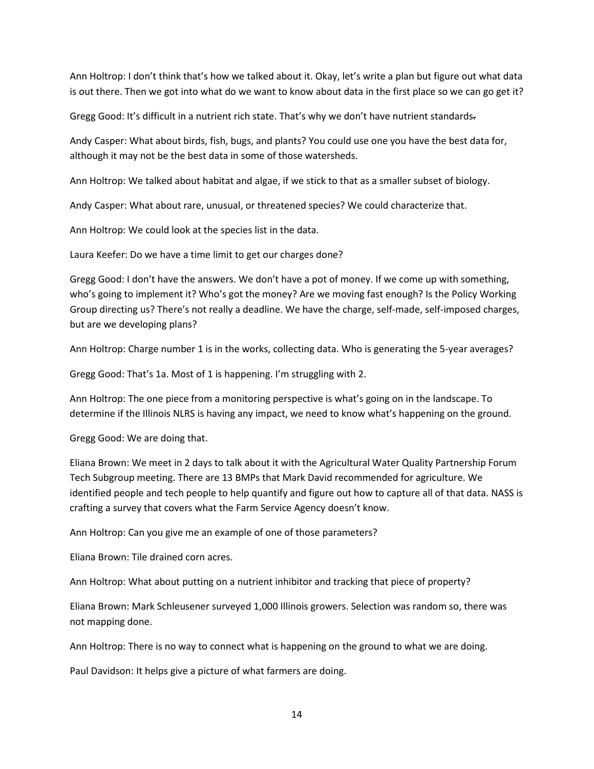Ann Holtrop: I don't think that's how we talked about it. Okay, let's write a plan but figure out what data is out there. Then we got into what do we want to know about data in the first place so we can go get it?

Gregg Good: It's difficult in a nutrient rich state. That's why we don't have nutrient standards.

Andy Casper: What about birds, fish, bugs, and plants? You could use one you have the best data for, although it may not be the best data in some of those watersheds.

Ann Holtrop: We talked about habitat and algae, if we stick to that as a smaller subset of biology.

Andy Casper: What about rare, unusual, or threatened species? We could characterize that.

Ann Holtrop: We could look at the species list in the data.

Laura Keefer: Do we have a time limit to get our charges done?

Gregg Good: I don't have the answers. We don't have a pot of money. If we come up with something, who's going to implement it? Who's got the money? Are we moving fast enough? Is the Policy Working Group directing us? There's not really a deadline. We have the charge, self-made, self-imposed charges, but are we developing plans?

Ann Holtrop: Charge number 1 is in the works, collecting data. Who is generating the 5-year averages?

Gregg Good: That's 1a. Most of 1 is happening. I'm struggling with 2.

Ann Holtrop: The one piece from a monitoring perspective is what's going on in the landscape. To determine if the Illinois NLRS is having any impact, we need to know what's happening on the ground.

Gregg Good: We are doing that.

Eliana Brown: We meet in 2 days to talk about it with the Agricultural Water Quality Partnership Forum Tech Subgroup meeting. There are 13 BMPs that Mark David recommended for agriculture. We identified people and tech people to help quantify and figure out how to capture all of that data. NASS is crafting a survey that covers what the Farm Service Agency doesn't know.

Ann Holtrop: Can you give me an example of one of those parameters?

Eliana Brown: Tile drained corn acres.

Ann Holtrop: What about putting on a nutrient inhibitor and tracking that piece of property?

Eliana Brown: Mark Schleusener surveyed 1,000 Illinois growers. Selection was random so, there was not mapping done.

Ann Holtrop: There is no way to connect what is happening on the ground to what we are doing.

Paul Davidson: It helps give a picture of what farmers are doing.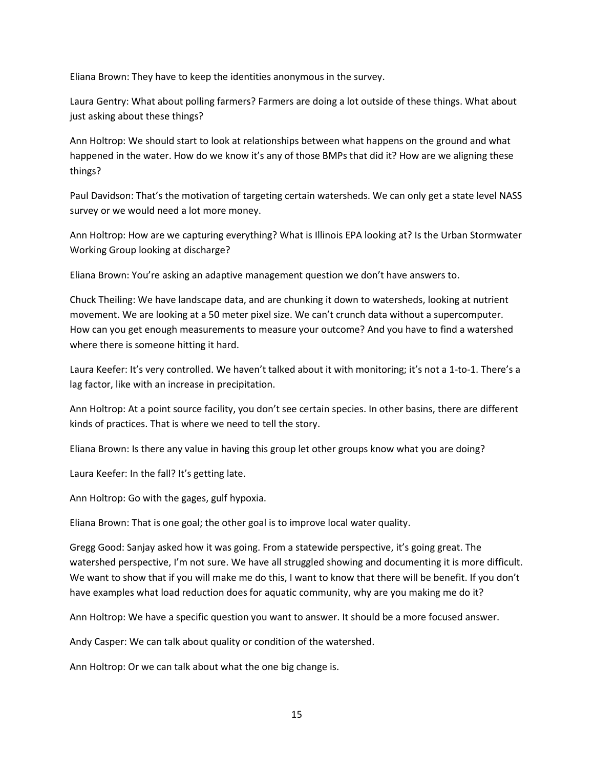Eliana Brown: They have to keep the identities anonymous in the survey.

Laura Gentry: What about polling farmers? Farmers are doing a lot outside of these things. What about just asking about these things?

Ann Holtrop: We should start to look at relationships between what happens on the ground and what happened in the water. How do we know it's any of those BMPs that did it? How are we aligning these things?

Paul Davidson: That's the motivation of targeting certain watersheds. We can only get a state level NASS survey or we would need a lot more money.

Ann Holtrop: How are we capturing everything? What is Illinois EPA looking at? Is the Urban Stormwater Working Group looking at discharge?

Eliana Brown: You're asking an adaptive management question we don't have answers to.

Chuck Theiling: We have landscape data, and are chunking it down to watersheds, looking at nutrient movement. We are looking at a 50 meter pixel size. We can't crunch data without a supercomputer. How can you get enough measurements to measure your outcome? And you have to find a watershed where there is someone hitting it hard.

Laura Keefer: It's very controlled. We haven't talked about it with monitoring; it's not a 1-to-1. There's a lag factor, like with an increase in precipitation.

Ann Holtrop: At a point source facility, you don't see certain species. In other basins, there are different kinds of practices. That is where we need to tell the story.

Eliana Brown: Is there any value in having this group let other groups know what you are doing?

Laura Keefer: In the fall? It's getting late.

Ann Holtrop: Go with the gages, gulf hypoxia.

Eliana Brown: That is one goal; the other goal is to improve local water quality.

Gregg Good: Sanjay asked how it was going. From a statewide perspective, it's going great. The watershed perspective, I'm not sure. We have all struggled showing and documenting it is more difficult. We want to show that if you will make me do this, I want to know that there will be benefit. If you don't have examples what load reduction does for aquatic community, why are you making me do it?

Ann Holtrop: We have a specific question you want to answer. It should be a more focused answer.

Andy Casper: We can talk about quality or condition of the watershed.

Ann Holtrop: Or we can talk about what the one big change is.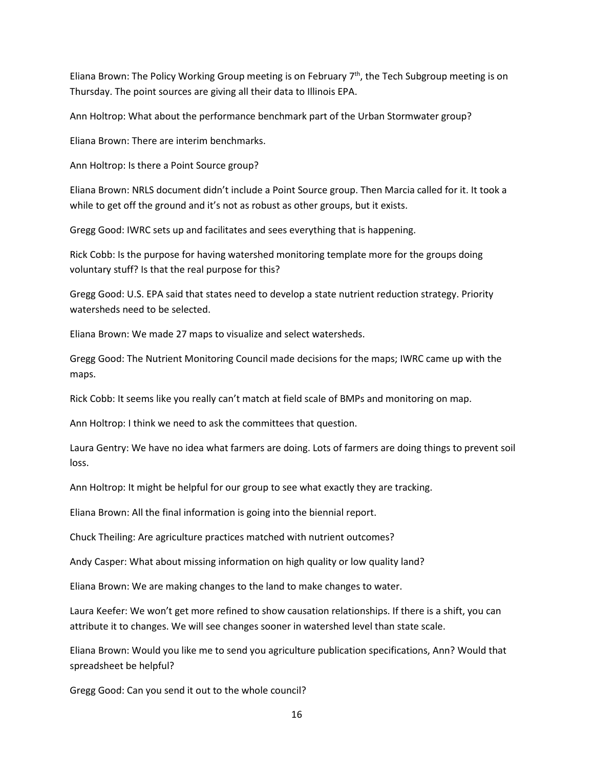Eliana Brown: The Policy Working Group meeting is on February  $7<sup>th</sup>$ , the Tech Subgroup meeting is on Thursday. The point sources are giving all their data to Illinois EPA.

Ann Holtrop: What about the performance benchmark part of the Urban Stormwater group?

Eliana Brown: There are interim benchmarks.

Ann Holtrop: Is there a Point Source group?

Eliana Brown: NRLS document didn't include a Point Source group. Then Marcia called for it. It took a while to get off the ground and it's not as robust as other groups, but it exists.

Gregg Good: IWRC sets up and facilitates and sees everything that is happening.

Rick Cobb: Is the purpose for having watershed monitoring template more for the groups doing voluntary stuff? Is that the real purpose for this?

Gregg Good: U.S. EPA said that states need to develop a state nutrient reduction strategy. Priority watersheds need to be selected.

Eliana Brown: We made 27 maps to visualize and select watersheds.

Gregg Good: The Nutrient Monitoring Council made decisions for the maps; IWRC came up with the maps.

Rick Cobb: It seems like you really can't match at field scale of BMPs and monitoring on map.

Ann Holtrop: I think we need to ask the committees that question.

Laura Gentry: We have no idea what farmers are doing. Lots of farmers are doing things to prevent soil loss.

Ann Holtrop: It might be helpful for our group to see what exactly they are tracking.

Eliana Brown: All the final information is going into the biennial report.

Chuck Theiling: Are agriculture practices matched with nutrient outcomes?

Andy Casper: What about missing information on high quality or low quality land?

Eliana Brown: We are making changes to the land to make changes to water.

Laura Keefer: We won't get more refined to show causation relationships. If there is a shift, you can attribute it to changes. We will see changes sooner in watershed level than state scale.

Eliana Brown: Would you like me to send you agriculture publication specifications, Ann? Would that spreadsheet be helpful?

Gregg Good: Can you send it out to the whole council?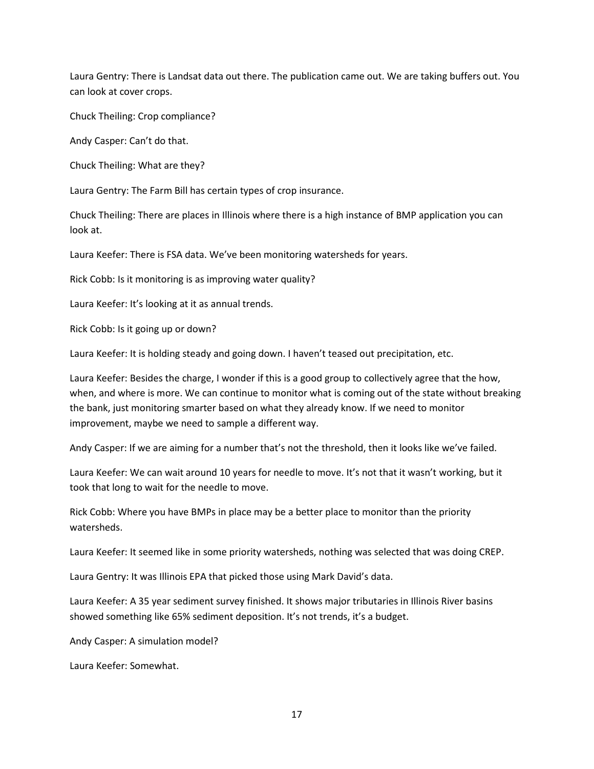Laura Gentry: There is Landsat data out there. The publication came out. We are taking buffers out. You can look at cover crops.

Chuck Theiling: Crop compliance?

Andy Casper: Can't do that.

Chuck Theiling: What are they?

Laura Gentry: The Farm Bill has certain types of crop insurance.

Chuck Theiling: There are places in Illinois where there is a high instance of BMP application you can look at.

Laura Keefer: There is FSA data. We've been monitoring watersheds for years.

Rick Cobb: Is it monitoring is as improving water quality?

Laura Keefer: It's looking at it as annual trends.

Rick Cobb: Is it going up or down?

Laura Keefer: It is holding steady and going down. I haven't teased out precipitation, etc.

Laura Keefer: Besides the charge, I wonder if this is a good group to collectively agree that the how, when, and where is more. We can continue to monitor what is coming out of the state without breaking the bank, just monitoring smarter based on what they already know. If we need to monitor improvement, maybe we need to sample a different way.

Andy Casper: If we are aiming for a number that's not the threshold, then it looks like we've failed.

Laura Keefer: We can wait around 10 years for needle to move. It's not that it wasn't working, but it took that long to wait for the needle to move.

Rick Cobb: Where you have BMPs in place may be a better place to monitor than the priority watersheds.

Laura Keefer: It seemed like in some priority watersheds, nothing was selected that was doing CREP.

Laura Gentry: It was Illinois EPA that picked those using Mark David's data.

Laura Keefer: A 35 year sediment survey finished. It shows major tributaries in Illinois River basins showed something like 65% sediment deposition. It's not trends, it's a budget.

Andy Casper: A simulation model?

Laura Keefer: Somewhat.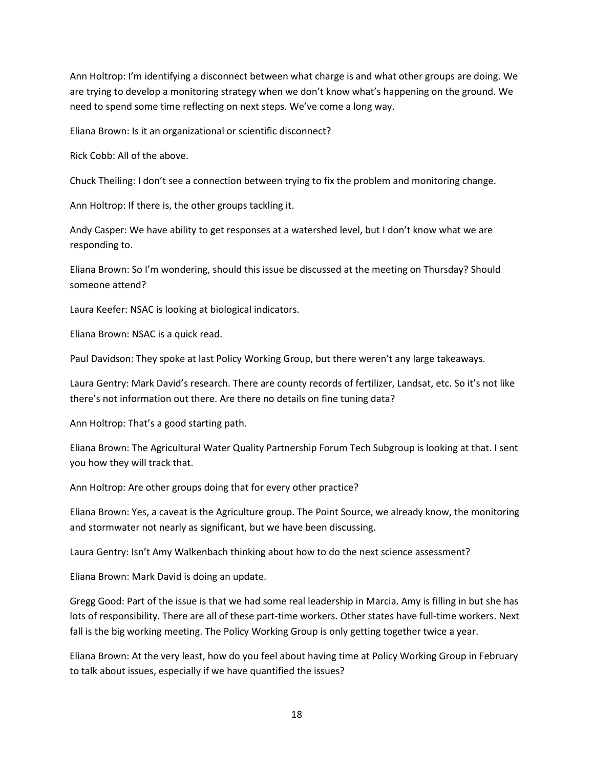Ann Holtrop: I'm identifying a disconnect between what charge is and what other groups are doing. We are trying to develop a monitoring strategy when we don't know what's happening on the ground. We need to spend some time reflecting on next steps. We've come a long way.

Eliana Brown: Is it an organizational or scientific disconnect?

Rick Cobb: All of the above.

Chuck Theiling: I don't see a connection between trying to fix the problem and monitoring change.

Ann Holtrop: If there is, the other groups tackling it.

Andy Casper: We have ability to get responses at a watershed level, but I don't know what we are responding to.

Eliana Brown: So I'm wondering, should this issue be discussed at the meeting on Thursday? Should someone attend?

Laura Keefer: NSAC is looking at biological indicators.

Eliana Brown: NSAC is a quick read.

Paul Davidson: They spoke at last Policy Working Group, but there weren't any large takeaways.

Laura Gentry: Mark David's research. There are county records of fertilizer, Landsat, etc. So it's not like there's not information out there. Are there no details on fine tuning data?

Ann Holtrop: That's a good starting path.

Eliana Brown: The Agricultural Water Quality Partnership Forum Tech Subgroup is looking at that. I sent you how they will track that.

Ann Holtrop: Are other groups doing that for every other practice?

Eliana Brown: Yes, a caveat is the Agriculture group. The Point Source, we already know, the monitoring and stormwater not nearly as significant, but we have been discussing.

Laura Gentry: Isn't Amy Walkenbach thinking about how to do the next science assessment?

Eliana Brown: Mark David is doing an update.

Gregg Good: Part of the issue is that we had some real leadership in Marcia. Amy is filling in but she has lots of responsibility. There are all of these part-time workers. Other states have full-time workers. Next fall is the big working meeting. The Policy Working Group is only getting together twice a year.

Eliana Brown: At the very least, how do you feel about having time at Policy Working Group in February to talk about issues, especially if we have quantified the issues?